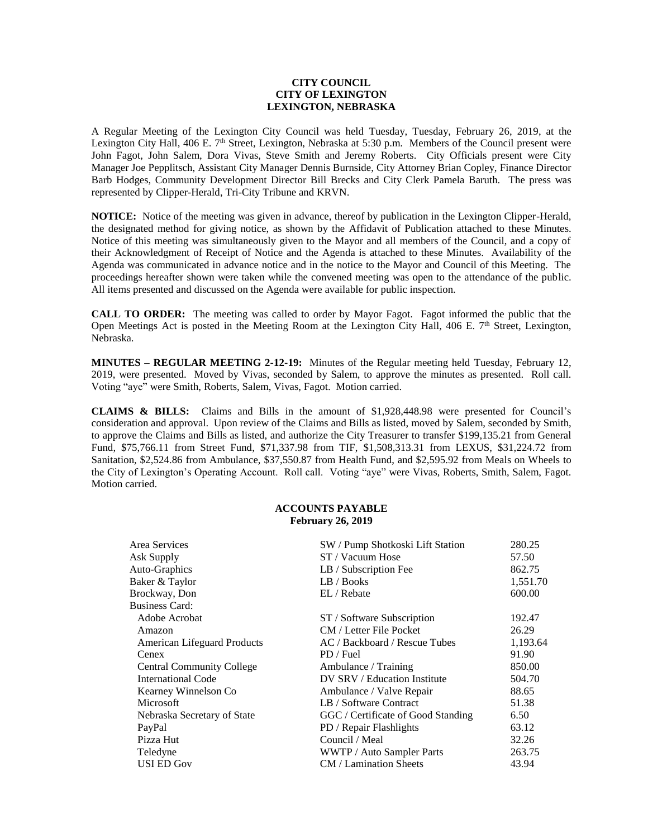# **CITY COUNCIL CITY OF LEXINGTON LEXINGTON, NEBRASKA**

A Regular Meeting of the Lexington City Council was held Tuesday, Tuesday, February 26, 2019, at the Lexington City Hall, 406 E. 7<sup>th</sup> Street, Lexington, Nebraska at 5:30 p.m. Members of the Council present were John Fagot, John Salem, Dora Vivas, Steve Smith and Jeremy Roberts. City Officials present were City Manager Joe Pepplitsch, Assistant City Manager Dennis Burnside, City Attorney Brian Copley, Finance Director Barb Hodges, Community Development Director Bill Brecks and City Clerk Pamela Baruth. The press was represented by Clipper-Herald, Tri-City Tribune and KRVN.

**NOTICE:** Notice of the meeting was given in advance, thereof by publication in the Lexington Clipper-Herald, the designated method for giving notice, as shown by the Affidavit of Publication attached to these Minutes. Notice of this meeting was simultaneously given to the Mayor and all members of the Council, and a copy of their Acknowledgment of Receipt of Notice and the Agenda is attached to these Minutes. Availability of the Agenda was communicated in advance notice and in the notice to the Mayor and Council of this Meeting. The proceedings hereafter shown were taken while the convened meeting was open to the attendance of the public. All items presented and discussed on the Agenda were available for public inspection.

**CALL TO ORDER:** The meeting was called to order by Mayor Fagot. Fagot informed the public that the Open Meetings Act is posted in the Meeting Room at the Lexington City Hall, 406 E. 7<sup>th</sup> Street, Lexington, Nebraska.

**MINUTES – REGULAR MEETING 2-12-19:** Minutes of the Regular meeting held Tuesday, February 12, 2019, were presented. Moved by Vivas, seconded by Salem, to approve the minutes as presented. Roll call. Voting "aye" were Smith, Roberts, Salem, Vivas, Fagot. Motion carried.

**CLAIMS & BILLS:** Claims and Bills in the amount of \$1,928,448.98 were presented for Council's consideration and approval. Upon review of the Claims and Bills as listed, moved by Salem, seconded by Smith, to approve the Claims and Bills as listed, and authorize the City Treasurer to transfer \$199,135.21 from General Fund, \$75,766.11 from Street Fund, \$71,337.98 from TIF, \$1,508,313.31 from LEXUS, \$31,224.72 from Sanitation, \$2,524.86 from Ambulance, \$37,550.87 from Health Fund, and \$2,595.92 from Meals on Wheels to the City of Lexington's Operating Account. Roll call. Voting "aye" were Vivas, Roberts, Smith, Salem, Fagot. Motion carried.

# **ACCOUNTS PAYABLE February 26, 2019**

| Area Services                      | SW / Pump Shotkoski Lift Station   | 280.25   |
|------------------------------------|------------------------------------|----------|
| Ask Supply                         | ST / Vacuum Hose                   | 57.50    |
| Auto-Graphics                      | LB / Subscription Fee              | 862.75   |
| Baker & Taylor                     | LB / Books                         | 1,551.70 |
| Brockway, Don                      | EL / Rebate                        | 600.00   |
| <b>Business Card:</b>              |                                    |          |
| Adobe Acrobat                      | ST / Software Subscription         | 192.47   |
| Amazon                             | CM / Letter File Pocket            | 26.29    |
| <b>American Lifeguard Products</b> | AC / Backboard / Rescue Tubes      | 1,193.64 |
| Cenex                              | PD / Fuel                          | 91.90    |
| <b>Central Community College</b>   | Ambulance / Training               | 850.00   |
| International Code                 | DV SRV / Education Institute       | 504.70   |
| Kearney Winnelson Co               | Ambulance / Valve Repair           | 88.65    |
| Microsoft                          | LB / Software Contract             | 51.38    |
| Nebraska Secretary of State        | GGC / Certificate of Good Standing | 6.50     |
| PayPal                             | PD / Repair Flashlights            | 63.12    |
| Pizza Hut                          | Council / Meal                     | 32.26    |
| Teledyne                           | WWTP / Auto Sampler Parts          | 263.75   |
| <b>USI ED Gov</b>                  | CM / Lamination Sheets             | 43.94    |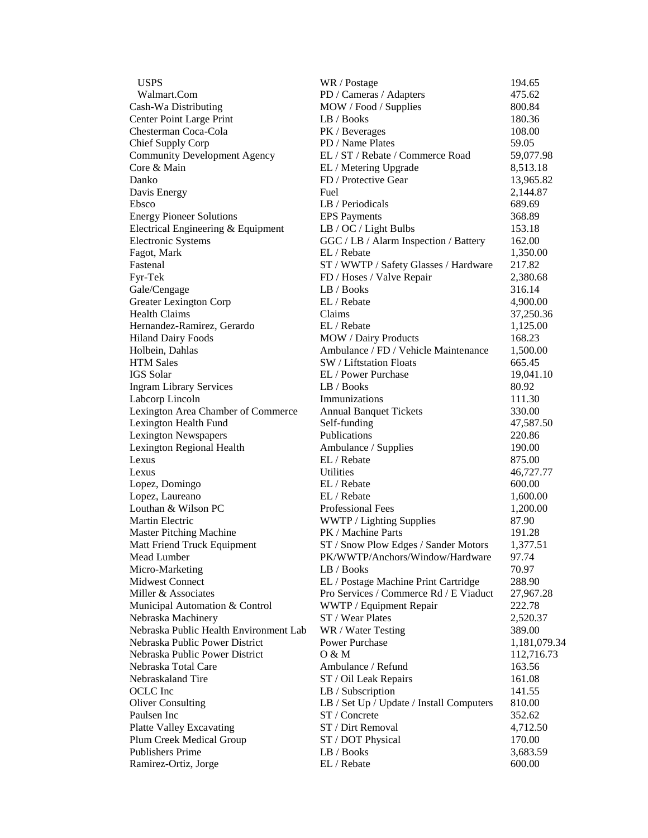| <b>USPS</b>                            | WR / Postage                             | 194.65       |
|----------------------------------------|------------------------------------------|--------------|
| Walmart.Com                            | PD / Cameras / Adapters                  | 475.62       |
| Cash-Wa Distributing                   | MOW / Food / Supplies                    | 800.84       |
| Center Point Large Print               | LB / Books                               | 180.36       |
| Chesterman Coca-Cola                   | PK / Beverages                           | 108.00       |
| Chief Supply Corp                      | PD / Name Plates                         | 59.05        |
| <b>Community Development Agency</b>    | EL / ST / Rebate / Commerce Road         | 59,077.98    |
| Core & Main                            | EL / Metering Upgrade                    | 8,513.18     |
| Danko                                  | FD / Protective Gear                     | 13,965.82    |
| Davis Energy                           | Fuel                                     | 2,144.87     |
| Ebsco                                  | LB / Periodicals                         | 689.69       |
| <b>Energy Pioneer Solutions</b>        | <b>EPS</b> Payments                      | 368.89       |
| Electrical Engineering & Equipment     | LB / OC / Light Bulbs                    | 153.18       |
| <b>Electronic Systems</b>              | GGC / LB / Alarm Inspection / Battery    | 162.00       |
| Fagot, Mark                            | EL / Rebate                              | 1,350.00     |
| Fastenal                               | ST / WWTP / Safety Glasses / Hardware    | 217.82       |
| Fyr-Tek                                | FD / Hoses / Valve Repair                | 2,380.68     |
| Gale/Cengage                           | LB / Books                               | 316.14       |
| Greater Lexington Corp                 | EL / Rebate                              | 4,900.00     |
| <b>Health Claims</b>                   | Claims                                   | 37,250.36    |
| Hernandez-Ramirez, Gerardo             | EL / Rebate                              | 1,125.00     |
| <b>Hiland Dairy Foods</b>              | MOW / Dairy Products                     | 168.23       |
| Holbein, Dahlas                        | Ambulance / FD / Vehicle Maintenance     | 1,500.00     |
| <b>HTM</b> Sales                       | SW / Liftstation Floats                  | 665.45       |
| IGS Solar                              | EL / Power Purchase                      | 19,041.10    |
| <b>Ingram Library Services</b>         | LB / Books                               | 80.92        |
| Labcorp Lincoln                        | Immunizations                            | 111.30       |
| Lexington Area Chamber of Commerce     | <b>Annual Banquet Tickets</b>            | 330.00       |
| Lexington Health Fund                  | Self-funding                             | 47,587.50    |
| <b>Lexington Newspapers</b>            | Publications                             | 220.86       |
| Lexington Regional Health              | Ambulance / Supplies                     | 190.00       |
| Lexus                                  | EL / Rebate                              | 875.00       |
| Lexus                                  | Utilities                                | 46,727.77    |
| Lopez, Domingo                         | EL / Rebate                              | 600.00       |
| Lopez, Laureano                        | EL / Rebate                              | 1,600.00     |
| Louthan & Wilson PC                    | Professional Fees                        | 1,200.00     |
| Martin Electric                        | WWTP / Lighting Supplies                 | 87.90        |
| <b>Master Pitching Machine</b>         | PK / Machine Parts                       | 191.28       |
| Matt Friend Truck Equipment            | ST / Snow Plow Edges / Sander Motors     | 1,377.51     |
| Mead Lumber                            | PK/WWTP/Anchors/Window/Hardware          | 97.74        |
| Micro-Marketing                        | LB / Books                               | 70.97        |
| <b>Midwest Connect</b>                 | EL / Postage Machine Print Cartridge     | 288.90       |
| Miller & Associates                    | Pro Services / Commerce Rd / E Viaduct   | 27,967.28    |
| Municipal Automation & Control         | WWTP / Equipment Repair                  | 222.78       |
| Nebraska Machinery                     | ST / Wear Plates                         | 2,520.37     |
| Nebraska Public Health Environment Lab | WR / Water Testing                       | 389.00       |
| Nebraska Public Power District         | Power Purchase                           | 1,181,079.34 |
| Nebraska Public Power District         | O & M                                    | 112,716.73   |
| Nebraska Total Care                    | Ambulance / Refund                       | 163.56       |
| Nebraskaland Tire                      | ST / Oil Leak Repairs                    | 161.08       |
| OCLC Inc                               | LB / Subscription                        | 141.55       |
| <b>Oliver Consulting</b>               | LB / Set Up / Update / Install Computers | 810.00       |
| Paulsen Inc                            | ST / Concrete                            | 352.62       |
| <b>Platte Valley Excavating</b>        | ST / Dirt Removal                        | 4,712.50     |
| Plum Creek Medical Group               | ST / DOT Physical                        | 170.00       |
| <b>Publishers Prime</b>                | LB / Books                               | 3,683.59     |
| Ramirez-Ortiz, Jorge                   | EL / Rebate                              | 600.00       |
|                                        |                                          |              |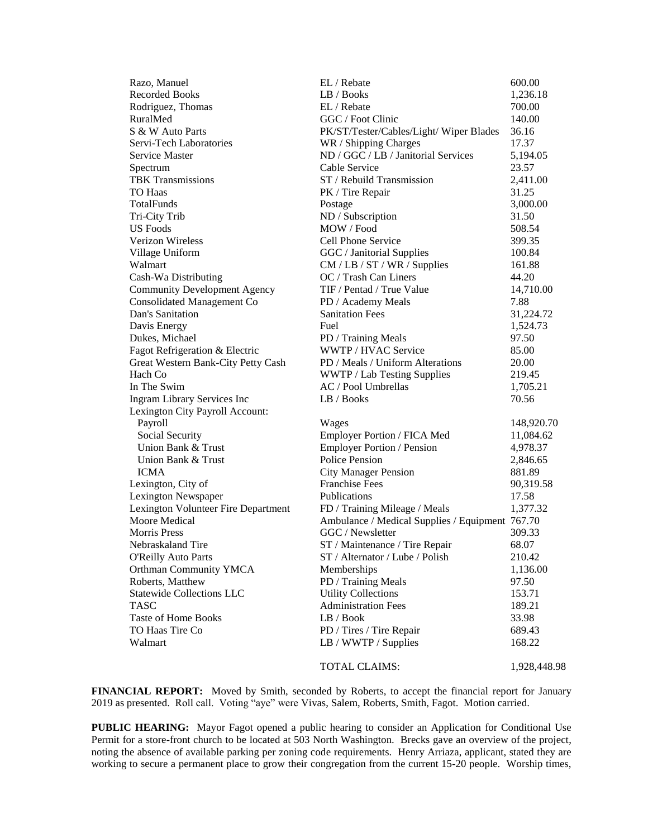| Razo, Manuel                        | EL / Rebate                                     | 600.00       |
|-------------------------------------|-------------------------------------------------|--------------|
| <b>Recorded Books</b>               | LB / Books                                      | 1,236.18     |
| Rodriguez, Thomas                   | EL / Rebate                                     | 700.00       |
| RuralMed                            | GGC / Foot Clinic                               | 140.00       |
| S & W Auto Parts                    | PK/ST/Tester/Cables/Light/ Wiper Blades         | 36.16        |
| Servi-Tech Laboratories             | WR / Shipping Charges                           | 17.37        |
| <b>Service Master</b>               | ND / GGC / LB / Janitorial Services             | 5,194.05     |
| Spectrum                            | Cable Service                                   | 23.57        |
| <b>TBK Transmissions</b>            | ST / Rebuild Transmission                       | 2,411.00     |
| <b>TO Haas</b>                      | PK / Tire Repair                                | 31.25        |
| TotalFunds                          | Postage                                         | 3,000.00     |
| Tri-City Trib                       | ND / Subscription                               | 31.50        |
| <b>US</b> Foods                     | MOW / Food                                      | 508.54       |
| <b>Verizon Wireless</b>             | Cell Phone Service                              | 399.35       |
| Village Uniform                     | GGC / Janitorial Supplies                       | 100.84       |
| Walmart                             | CM / LB / ST / WR / Supplies                    | 161.88       |
| Cash-Wa Distributing                | OC / Trash Can Liners                           | 44.20        |
| <b>Community Development Agency</b> | TIF / Pentad / True Value                       | 14,710.00    |
| <b>Consolidated Management Co</b>   | PD / Academy Meals                              | 7.88         |
| Dan's Sanitation                    | <b>Sanitation Fees</b>                          | 31,224.72    |
| Davis Energy                        | Fuel                                            | 1,524.73     |
| Dukes, Michael                      | PD / Training Meals                             | 97.50        |
| Fagot Refrigeration & Electric      | WWTP / HVAC Service                             | 85.00        |
| Great Western Bank-City Petty Cash  | PD / Meals / Uniform Alterations                | 20.00        |
| Hach Co                             | WWTP / Lab Testing Supplies                     | 219.45       |
| In The Swim                         | AC / Pool Umbrellas                             | 1,705.21     |
| Ingram Library Services Inc         | LB / Books                                      | 70.56        |
| Lexington City Payroll Account:     |                                                 |              |
| Payroll                             | Wages                                           | 148,920.70   |
| Social Security                     | Employer Portion / FICA Med                     | 11,084.62    |
| Union Bank & Trust                  | Employer Portion / Pension                      | 4,978.37     |
| Union Bank & Trust                  | Police Pension                                  | 2,846.65     |
| <b>ICMA</b>                         | <b>City Manager Pension</b>                     | 881.89       |
| Lexington, City of                  | <b>Franchise Fees</b>                           | 90,319.58    |
| Lexington Newspaper                 | Publications                                    | 17.58        |
| Lexington Volunteer Fire Department | FD / Training Mileage / Meals                   | 1,377.32     |
| Moore Medical                       | Ambulance / Medical Supplies / Equipment 767.70 |              |
| <b>Morris Press</b>                 | GGC / Newsletter                                | 309.33       |
| Nebraskaland Tire                   | ST / Maintenance / Tire Repair                  | 68.07        |
| <b>O'Reilly Auto Parts</b>          | ST / Alternator / Lube / Polish                 | 210.42       |
| Orthman Community YMCA              | Memberships                                     | 1,136.00     |
| Roberts, Matthew                    | PD / Training Meals                             | 97.50        |
| <b>Statewide Collections LLC</b>    | <b>Utility Collections</b>                      | 153.71       |
| <b>TASC</b>                         | <b>Administration Fees</b>                      | 189.21       |
| <b>Taste of Home Books</b>          | LB / Book                                       | 33.98        |
| TO Haas Tire Co                     | PD / Tires / Tire Repair                        | 689.43       |
| Walmart                             | LB / WWTP / Supplies                            | 168.22       |
|                                     |                                                 |              |
|                                     | <b>TOTAL CLAIMS:</b>                            | 1,928,448.98 |

**FINANCIAL REPORT:** Moved by Smith, seconded by Roberts, to accept the financial report for January 2019 as presented. Roll call. Voting "aye" were Vivas, Salem, Roberts, Smith, Fagot. Motion carried.

PUBLIC HEARING: Mayor Fagot opened a public hearing to consider an Application for Conditional Use Permit for a store-front church to be located at 503 North Washington. Brecks gave an overview of the project, noting the absence of available parking per zoning code requirements. Henry Arriaza, applicant, stated they are working to secure a permanent place to grow their congregation from the current 15-20 people. Worship times,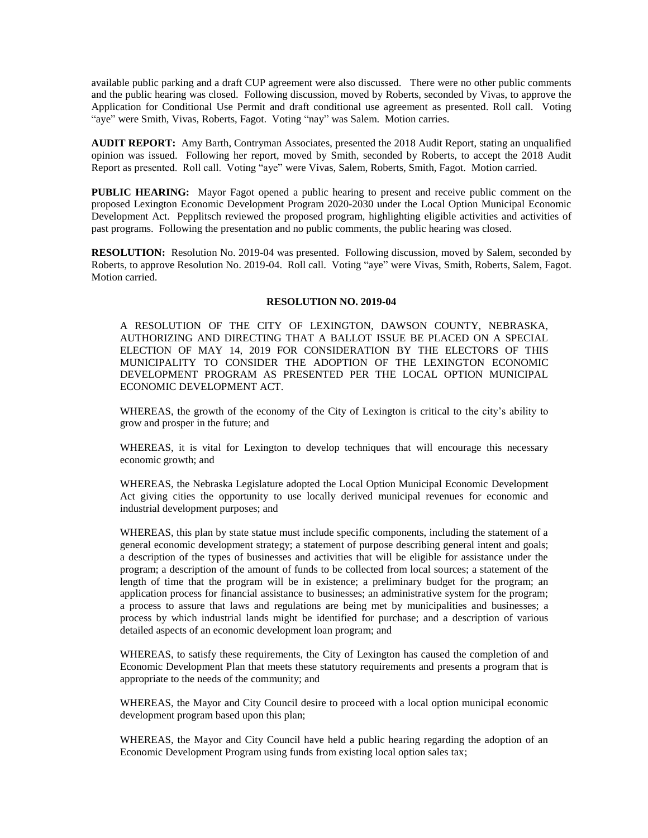available public parking and a draft CUP agreement were also discussed. There were no other public comments and the public hearing was closed. Following discussion, moved by Roberts, seconded by Vivas, to approve the Application for Conditional Use Permit and draft conditional use agreement as presented. Roll call. Voting "aye" were Smith, Vivas, Roberts, Fagot. Voting "nay" was Salem. Motion carries.

**AUDIT REPORT:** Amy Barth, Contryman Associates, presented the 2018 Audit Report, stating an unqualified opinion was issued. Following her report, moved by Smith, seconded by Roberts, to accept the 2018 Audit Report as presented. Roll call. Voting "aye" were Vivas, Salem, Roberts, Smith, Fagot. Motion carried.

**PUBLIC HEARING:** Mayor Fagot opened a public hearing to present and receive public comment on the proposed Lexington Economic Development Program 2020-2030 under the Local Option Municipal Economic Development Act. Pepplitsch reviewed the proposed program, highlighting eligible activities and activities of past programs. Following the presentation and no public comments, the public hearing was closed.

**RESOLUTION:** Resolution No. 2019-04 was presented. Following discussion, moved by Salem, seconded by Roberts, to approve Resolution No. 2019-04. Roll call. Voting "aye" were Vivas, Smith, Roberts, Salem, Fagot. Motion carried.

#### **RESOLUTION NO. 2019-04**

A RESOLUTION OF THE CITY OF LEXINGTON, DAWSON COUNTY, NEBRASKA, AUTHORIZING AND DIRECTING THAT A BALLOT ISSUE BE PLACED ON A SPECIAL ELECTION OF MAY 14, 2019 FOR CONSIDERATION BY THE ELECTORS OF THIS MUNICIPALITY TO CONSIDER THE ADOPTION OF THE LEXINGTON ECONOMIC DEVELOPMENT PROGRAM AS PRESENTED PER THE LOCAL OPTION MUNICIPAL ECONOMIC DEVELOPMENT ACT.

WHEREAS, the growth of the economy of the City of Lexington is critical to the city's ability to grow and prosper in the future; and

WHEREAS, it is vital for Lexington to develop techniques that will encourage this necessary economic growth; and

WHEREAS, the Nebraska Legislature adopted the Local Option Municipal Economic Development Act giving cities the opportunity to use locally derived municipal revenues for economic and industrial development purposes; and

WHEREAS, this plan by state statue must include specific components, including the statement of a general economic development strategy; a statement of purpose describing general intent and goals; a description of the types of businesses and activities that will be eligible for assistance under the program; a description of the amount of funds to be collected from local sources; a statement of the length of time that the program will be in existence; a preliminary budget for the program; an application process for financial assistance to businesses; an administrative system for the program; a process to assure that laws and regulations are being met by municipalities and businesses; a process by which industrial lands might be identified for purchase; and a description of various detailed aspects of an economic development loan program; and

WHEREAS, to satisfy these requirements, the City of Lexington has caused the completion of and Economic Development Plan that meets these statutory requirements and presents a program that is appropriate to the needs of the community; and

WHEREAS, the Mayor and City Council desire to proceed with a local option municipal economic development program based upon this plan;

WHEREAS, the Mayor and City Council have held a public hearing regarding the adoption of an Economic Development Program using funds from existing local option sales tax;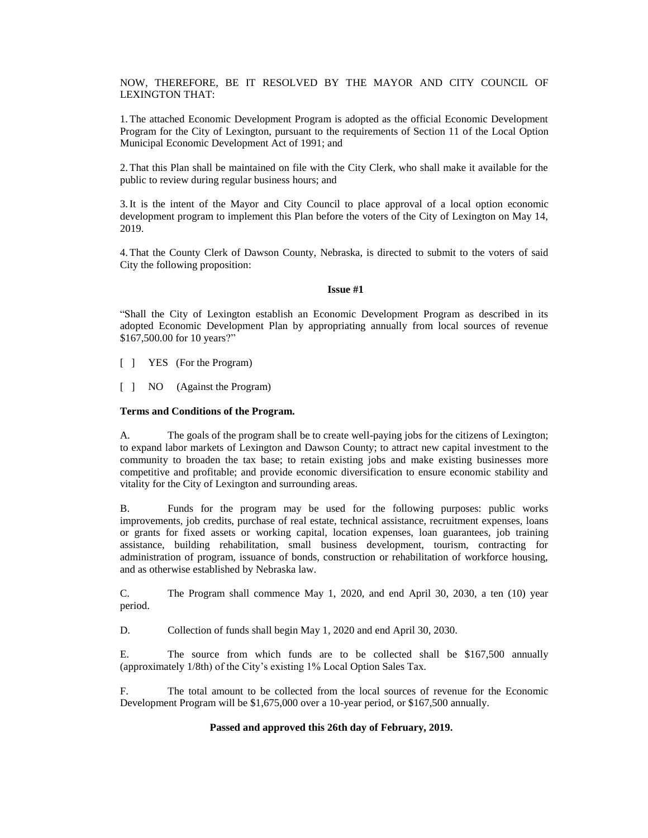NOW, THEREFORE, BE IT RESOLVED BY THE MAYOR AND CITY COUNCIL OF LEXINGTON THAT:

1.The attached Economic Development Program is adopted as the official Economic Development Program for the City of Lexington, pursuant to the requirements of Section 11 of the Local Option Municipal Economic Development Act of 1991; and

2.That this Plan shall be maintained on file with the City Clerk, who shall make it available for the public to review during regular business hours; and

3.It is the intent of the Mayor and City Council to place approval of a local option economic development program to implement this Plan before the voters of the City of Lexington on May 14, 2019.

4.That the County Clerk of Dawson County, Nebraska, is directed to submit to the voters of said City the following proposition:

#### **Issue #1**

"Shall the City of Lexington establish an Economic Development Program as described in its adopted Economic Development Plan by appropriating annually from local sources of revenue \$167,500.00 for 10 years?"

[ ] YES (For the Program)

[ ] NO (Against the Program)

# **Terms and Conditions of the Program.**

A. The goals of the program shall be to create well-paying jobs for the citizens of Lexington; to expand labor markets of Lexington and Dawson County; to attract new capital investment to the community to broaden the tax base; to retain existing jobs and make existing businesses more competitive and profitable; and provide economic diversification to ensure economic stability and vitality for the City of Lexington and surrounding areas.

B. Funds for the program may be used for the following purposes: public works improvements, job credits, purchase of real estate, technical assistance, recruitment expenses, loans or grants for fixed assets or working capital, location expenses, loan guarantees, job training assistance, building rehabilitation, small business development, tourism, contracting for administration of program, issuance of bonds, construction or rehabilitation of workforce housing, and as otherwise established by Nebraska law.

C. The Program shall commence May 1, 2020, and end April 30, 2030, a ten (10) year period.

D. Collection of funds shall begin May 1, 2020 and end April 30, 2030.

E. The source from which funds are to be collected shall be \$167,500 annually (approximately 1/8th) of the City's existing 1% Local Option Sales Tax.

F. The total amount to be collected from the local sources of revenue for the Economic Development Program will be \$1,675,000 over a 10-year period, or \$167,500 annually.

# **Passed and approved this 26th day of February, 2019.**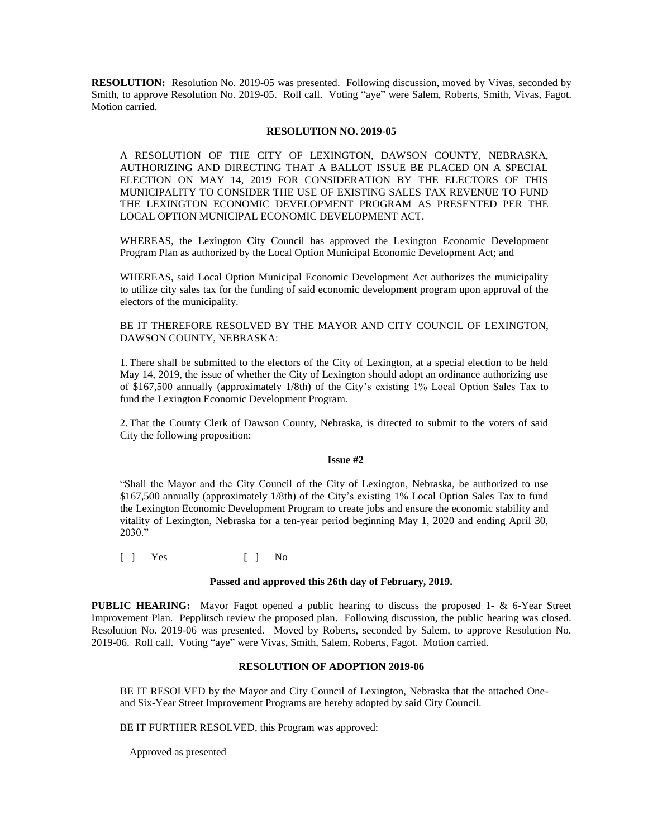**RESOLUTION:** Resolution No. 2019-05 was presented. Following discussion, moved by Vivas, seconded by Smith, to approve Resolution No. 2019-05. Roll call. Voting "aye" were Salem, Roberts, Smith, Vivas, Fagot. Motion carried.

### **RESOLUTION NO. 2019-05**

A RESOLUTION OF THE CITY OF LEXINGTON, DAWSON COUNTY, NEBRASKA, AUTHORIZING AND DIRECTING THAT A BALLOT ISSUE BE PLACED ON A SPECIAL ELECTION ON MAY 14, 2019 FOR CONSIDERATION BY THE ELECTORS OF THIS MUNICIPALITY TO CONSIDER THE USE OF EXISTING SALES TAX REVENUE TO FUND THE LEXINGTON ECONOMIC DEVELOPMENT PROGRAM AS PRESENTED PER THE LOCAL OPTION MUNICIPAL ECONOMIC DEVELOPMENT ACT.

WHEREAS, the Lexington City Council has approved the Lexington Economic Development Program Plan as authorized by the Local Option Municipal Economic Development Act; and

WHEREAS, said Local Option Municipal Economic Development Act authorizes the municipality to utilize city sales tax for the funding of said economic development program upon approval of the electors of the municipality.

# BE IT THEREFORE RESOLVED BY THE MAYOR AND CITY COUNCIL OF LEXINGTON, DAWSON COUNTY, NEBRASKA:

1.There shall be submitted to the electors of the City of Lexington, at a special election to be held May 14, 2019, the issue of whether the City of Lexington should adopt an ordinance authorizing use of \$167,500 annually (approximately 1/8th) of the City's existing 1% Local Option Sales Tax to fund the Lexington Economic Development Program.

2.That the County Clerk of Dawson County, Nebraska, is directed to submit to the voters of said City the following proposition:

### **Issue #2**

"Shall the Mayor and the City Council of the City of Lexington, Nebraska, be authorized to use \$167,500 annually (approximately 1/8th) of the City's existing 1% Local Option Sales Tax to fund the Lexington Economic Development Program to create jobs and ensure the economic stability and vitality of Lexington, Nebraska for a ten-year period beginning May 1, 2020 and ending April 30, 2030."

 $\begin{bmatrix} 1 & Y_{\text{es}} & & \end{bmatrix}$   $\begin{bmatrix} 1 & No \end{bmatrix}$ 

#### **Passed and approved this 26th day of February, 2019.**

**PUBLIC HEARING:** Mayor Fagot opened a public hearing to discuss the proposed 1- & 6-Year Street Improvement Plan. Pepplitsch review the proposed plan. Following discussion, the public hearing was closed. Resolution No. 2019-06 was presented. Moved by Roberts, seconded by Salem, to approve Resolution No. 2019-06. Roll call. Voting "aye" were Vivas, Smith, Salem, Roberts, Fagot. Motion carried.

# **RESOLUTION OF ADOPTION 2019-06**

BE IT RESOLVED by the Mayor and City Council of Lexington, Nebraska that the attached Oneand Six-Year Street Improvement Programs are hereby adopted by said City Council.

BE IT FURTHER RESOLVED, this Program was approved:

Approved as presented